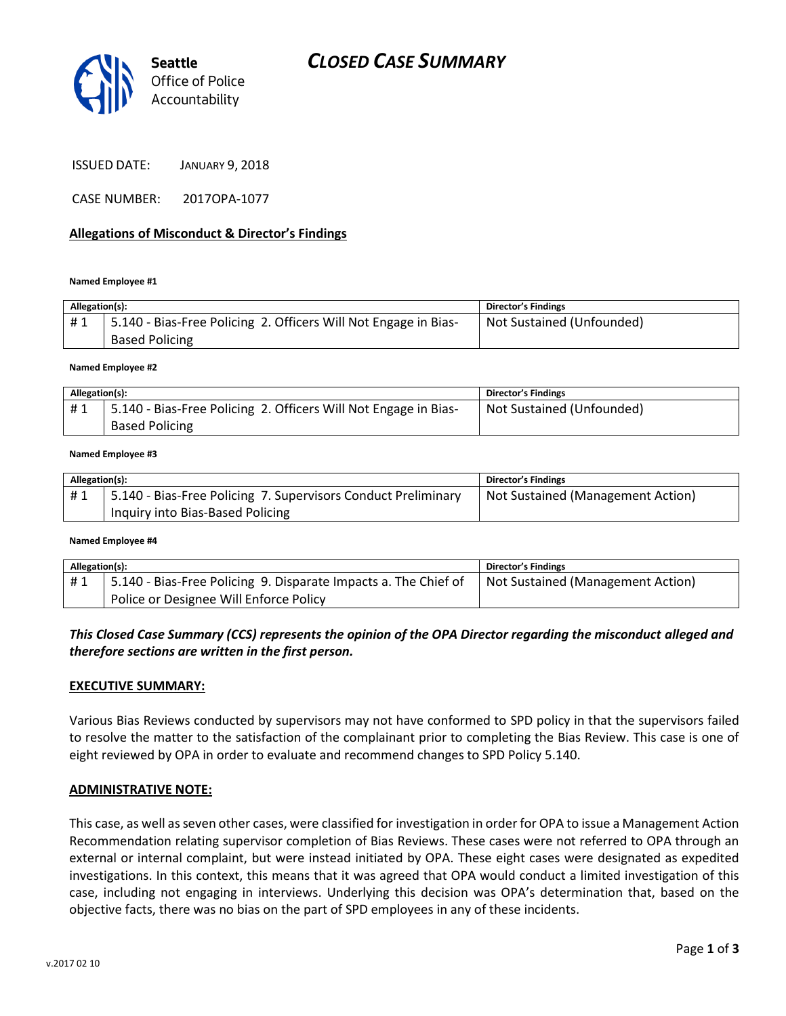

ISSUED DATE: JANUARY 9, 2018

CASE NUMBER: 2017OPA-1077

#### **Allegations of Misconduct & Director's Findings**

#### **Named Employee #1**

| Allegation(s): |                                                                                          | Director's Findings       |
|----------------|------------------------------------------------------------------------------------------|---------------------------|
| #1             | 5.140 - Bias-Free Policing 2. Officers Will Not Engage in Bias-<br><b>Based Policing</b> | Not Sustained (Unfounded) |

**Named Employee #2**

| Allegation(s): |                                                                 | <b>Director's Findings</b> |
|----------------|-----------------------------------------------------------------|----------------------------|
| #1             | 5.140 - Bias-Free Policing 2. Officers Will Not Engage in Bias- | Not Sustained (Unfounded)  |
|                | <b>Based Policing</b>                                           |                            |

#### **Named Employee #3**

| Allegation(s): |                                                               | <b>Director's Findings</b>        |
|----------------|---------------------------------------------------------------|-----------------------------------|
| #1             | 5.140 - Bias-Free Policing 7. Supervisors Conduct Preliminary | Not Sustained (Management Action) |
|                | Inquiry into Bias-Based Policing                              |                                   |

#### **Named Employee #4**

| Allegation(s): |                                                                 | Director's Findings               |
|----------------|-----------------------------------------------------------------|-----------------------------------|
| #1             | 5.140 - Bias-Free Policing 9. Disparate Impacts a. The Chief of | Not Sustained (Management Action) |
|                | Police or Designee Will Enforce Policy                          |                                   |

*This Closed Case Summary (CCS) represents the opinion of the OPA Director regarding the misconduct alleged and therefore sections are written in the first person.* 

#### **EXECUTIVE SUMMARY:**

Various Bias Reviews conducted by supervisors may not have conformed to SPD policy in that the supervisors failed to resolve the matter to the satisfaction of the complainant prior to completing the Bias Review. This case is one of eight reviewed by OPA in order to evaluate and recommend changes to SPD Policy 5.140.

#### **ADMINISTRATIVE NOTE:**

This case, as well as seven other cases, were classified for investigation in order for OPA to issue a Management Action Recommendation relating supervisor completion of Bias Reviews. These cases were not referred to OPA through an external or internal complaint, but were instead initiated by OPA. These eight cases were designated as expedited investigations. In this context, this means that it was agreed that OPA would conduct a limited investigation of this case, including not engaging in interviews. Underlying this decision was OPA's determination that, based on the objective facts, there was no bias on the part of SPD employees in any of these incidents.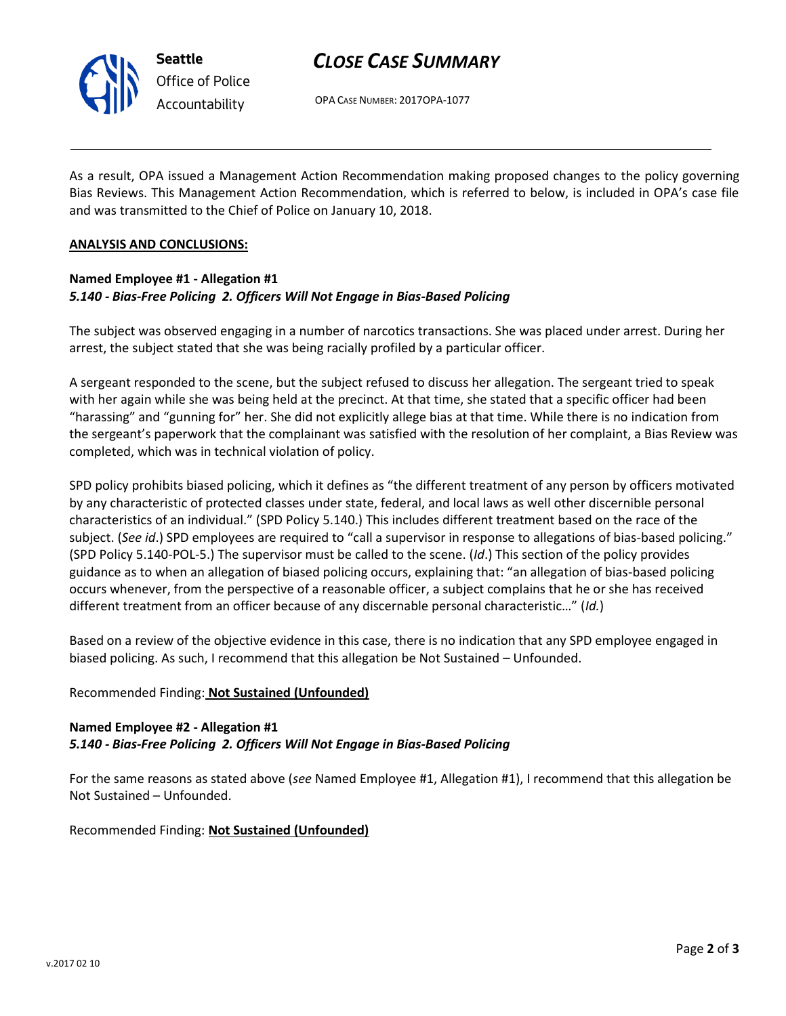

# *CLOSE CASE SUMMARY*

OPA CASE NUMBER: 2017OPA-1077

As a result, OPA issued a Management Action Recommendation making proposed changes to the policy governing Bias Reviews. This Management Action Recommendation, which is referred to below, is included in OPA's case file and was transmitted to the Chief of Police on January 10, 2018.

#### **ANALYSIS AND CONCLUSIONS:**

## **Named Employee #1 - Allegation #1** *5.140 - Bias-Free Policing 2. Officers Will Not Engage in Bias-Based Policing*

The subject was observed engaging in a number of narcotics transactions. She was placed under arrest. During her arrest, the subject stated that she was being racially profiled by a particular officer.

A sergeant responded to the scene, but the subject refused to discuss her allegation. The sergeant tried to speak with her again while she was being held at the precinct. At that time, she stated that a specific officer had been "harassing" and "gunning for" her. She did not explicitly allege bias at that time. While there is no indication from the sergeant's paperwork that the complainant was satisfied with the resolution of her complaint, a Bias Review was completed, which was in technical violation of policy.

SPD policy prohibits biased policing, which it defines as "the different treatment of any person by officers motivated by any characteristic of protected classes under state, federal, and local laws as well other discernible personal characteristics of an individual." (SPD Policy 5.140.) This includes different treatment based on the race of the subject. (*See id*.) SPD employees are required to "call a supervisor in response to allegations of bias-based policing." (SPD Policy 5.140-POL-5.) The supervisor must be called to the scene. (*Id*.) This section of the policy provides guidance as to when an allegation of biased policing occurs, explaining that: "an allegation of bias-based policing occurs whenever, from the perspective of a reasonable officer, a subject complains that he or she has received different treatment from an officer because of any discernable personal characteristic…" (*Id.*)

Based on a review of the objective evidence in this case, there is no indication that any SPD employee engaged in biased policing. As such, I recommend that this allegation be Not Sustained – Unfounded.

### Recommended Finding: **Not Sustained (Unfounded)**

# **Named Employee #2 - Allegation #1** *5.140 - Bias-Free Policing 2. Officers Will Not Engage in Bias-Based Policing*

For the same reasons as stated above (*see* Named Employee #1, Allegation #1), I recommend that this allegation be Not Sustained – Unfounded.

Recommended Finding: **Not Sustained (Unfounded)**